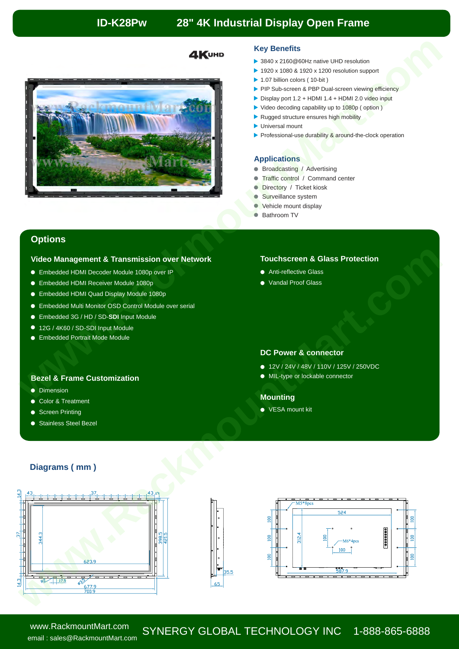# **ID-K28Pw 28" 4K Industrial Display Open Frame**



## **Key Benefits**

- ▶ 3840 x 2160@60Hz native UHD resolution
- ▶ 1920 x 1080 & 1920 x 1200 resolution support
- ▶ 1.07 billion colors (10-bit)
- PIP Sub-screen & PBP Dual-screen viewing efficiency
- ▶ Display port 1.2 + HDMI 1.4 + HDMI 2.0 video input
- Video decoding capability up to 1080p ( option )
- Rugged structure ensures high mobility
- Universal mount
- Professional-use durability & around-the-clock operation

#### **Applications**

- Broadcasting / Advertising
- Traffic control / Command center
- Directory / Ticket kiosk
- Surveillance system
- Vehicle mount display
- Bathroom TV

## **Options**

#### **Video Management & Transmission over Network**

- Embedded HDMI Decoder Module 1080p over IP
- Embedded HDMI Receiver Module 1080p
- Embedded HDMI Quad Display Module 1080p
- Embedded Multi Monitor OSD Control Module over serial
- Embedded 3G / HD / SD-**SDI** Input Module
- 12G / 4K60 / SD-SDI Input Module
- Embedded Portrait Mode Module

### **Touchscreen & Glass Protection**

- **Anti-reflective Glass**
- Vandal Proof Glass

## **DC Power & connector**

- 12V / 24V / 48V / 110V / 125V / 250VDC
- $\bullet$  MIL-type or lockable connector

#### **Mounting**

● VESA mount kit

# Color & Treatment

**Bezel & Frame Customization**

● Screen Printing

**•** Dimension

Stainless Steel Bezel

## **Diagrams ( mm )**





email : sales@RackmountMart.com